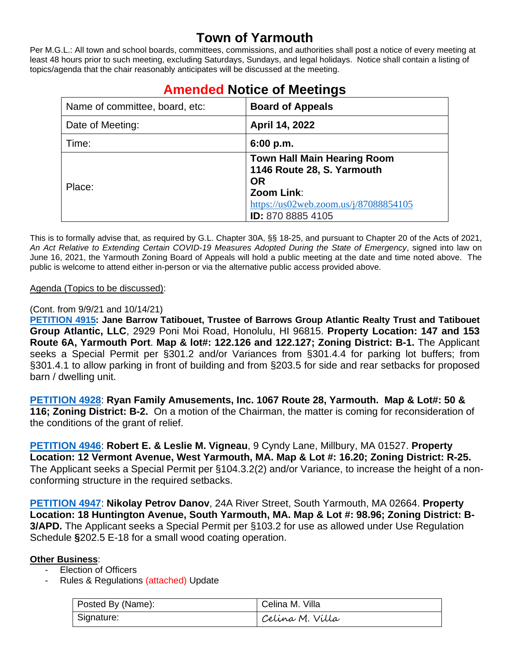# **Town of Yarmouth**

Per M.G.L.: All town and school boards, committees, commissions, and authorities shall post a notice of every meeting at least 48 hours prior to such meeting, excluding Saturdays, Sundays, and legal holidays. Notice shall contain a listing of topics/agenda that the chair reasonably anticipates will be discussed at the meeting.

| Name of committee, board, etc: | <b>Board of Appeals</b>                                                                                                                                   |
|--------------------------------|-----------------------------------------------------------------------------------------------------------------------------------------------------------|
| Date of Meeting:               | April 14, 2022                                                                                                                                            |
| Time:                          | 6:00 p.m.                                                                                                                                                 |
| Place:                         | <b>Town Hall Main Hearing Room</b><br>1146 Route 28, S. Yarmouth<br><b>OR</b><br>Zoom Link:<br>https://us02web.zoom.us/j/87088854105<br>ID: 870 8885 4105 |

# **Amended Notice of Meetings**

This is to formally advise that, as required by G.L. Chapter 30A, §§ 18-25, and pursuant to Chapter 20 of the Acts of 2021, *An Act Relative to Extending Certain COVID-19 Measures Adopted During the State of Emergency*, signed into law on June 16, 2021, the Yarmouth Zoning Board of Appeals will hold a public meeting at the date and time noted above. The public is welcome to attend either in-person or via the alternative public access provided above.

#### Agenda (Topics to be discussed):

#### (Cont. from 9/9/21 and 10/14/21)

**[PETITION 4915:](https://lf.yarmouth.ma.us/WebLink/Browse.aspx?id=650960&dbid=0&repo=LASERFICHE) Jane Barrow Tatibouet, Trustee of Barrows Group Atlantic Realty Trust and Tatibouet Group Atlantic, LLC**, 2929 Poni Moi Road, Honolulu, HI 96815. **Property Location: 147 and 153 Route 6A, Yarmouth Port**. **Map & lot#: 122.126 and 122.127; Zoning District: B-1.** The Applicant seeks a Special Permit per §301.2 and/or Variances from §301.4.4 for parking lot buffers; from §301.4.1 to allow parking in front of building and from §203.5 for side and rear setbacks for proposed barn / dwelling unit.

**[PETITION 4928](https://lf.yarmouth.ma.us/WebLink/Browse.aspx?id=647682&dbid=0&repo=LASERFICHE)**: **Ryan Family Amusements, Inc. 1067 Route 28, Yarmouth. Map & Lot#: 50 & 116; Zoning District: B-2.** On a motion of the Chairman, the matter is coming for reconsideration of the conditions of the grant of relief.

**[PETITION 4946](https://lf.yarmouth.ma.us/WebLink/Browse.aspx?id=588963&dbid=0&repo=LASERFICHE)**: **Robert E. & Leslie M. Vigneau**, 9 Cyndy Lane, Millbury, MA 01527. **Property Location: 12 Vermont Avenue, West Yarmouth, MA. Map & Lot #: 16.20; Zoning District: R-25.**  The Applicant seeks a Special Permit per §104.3.2(2) and/or Variance, to increase the height of a nonconforming structure in the required setbacks.

**[PETITION 4947](https://lf.yarmouth.ma.us/WebLink/Browse.aspx?id=761640&dbid=0&repo=LASERFICHE)**: **Nikolay Petrov Danov**, 24A River Street, South Yarmouth, MA 02664. **Property Location: 18 Huntington Avenue, South Yarmouth, MA. Map & Lot #: 98.96; Zoning District: B-3/APD.** The Applicant seeks a Special Permit per §103.2 for use as allowed under Use Regulation Schedule **§**202.5 E-18 for a small wood coating operation.

#### **Other Business**:

- Election of Officers
- Rules & Regulations (attached) Update

| Posted By (Name): | Celina M. Villa |
|-------------------|-----------------|
| Signature:        | Celina M. Villa |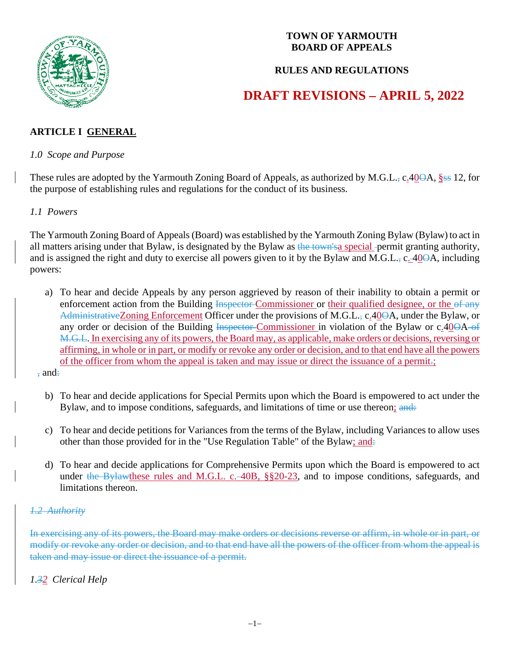

#### **TOWN OF YARMOUTH BOARD OF APPEALS**

#### **RULES AND REGULATIONS**

# **DRAFT REVISIONS – APRIL 5, 2022**

# **ARTICLE I GENERAL**

#### *1.0 Scope and Purpose*

These rules are adopted by the Yarmouth Zoning Board of Appeals, as authorized by M.G.L., c. 400A, §ss 12, for the purpose of establishing rules and regulations for the conduct of its business.

#### *1.1 Powers*

The Yarmouth Zoning Board of Appeals (Board) was established by the Yarmouth Zoning Bylaw (Bylaw) to act in all matters arising under that Bylaw, is designated by the Bylaw as the town's a special -permit granting authority, and is assigned the right and duty to exercise all powers given to it by the Bylaw and M.G.L., c. 400A, including powers:

 a) To hear and decide Appeals by any person aggrieved by reason of their inability to obtain a permit or enforcement action from the Building Inspector-Commissioner or their qualified designee, or the of any AdministrativeZoning Enforcement Officer under the provisions of M.G.L., c.40<del>O</del>A, under the Bylaw, or any order or decision of the Building Inspector Commissioner in violation of the Bylaw or c.400A of M.G.L. In exercising any of its powers, the Board may, as applicable, make orders or decisions, reversing or affirming, in whole or in part, or modify or revoke any order or decision, and to that end have all the powers of the officer from whom the appeal is taken and may issue or direct the issuance of a permit.;

, and:

- b) To hear and decide applications for Special Permits upon which the Board is empowered to act under the Bylaw, and to impose conditions, safeguards, and limitations of time or use thereon; and:
- c) To hear and decide petitions for Variances from the terms of the Bylaw, including Variances to allow uses other than those provided for in the "Use Regulation Table" of the Bylaw; and:
- d) To hear and decide applications for Comprehensive Permits upon which the Board is empowered to act under the Bylawthese rules and M.G.L. c. 40B, §§20-23, and to impose conditions, safeguards, and limitations thereon.

#### *1.2 Authority*

In exercising any of its powers, the Board may make orders or decisions reverse or affirm, in whole or in part, or modify or revoke any order or decision, and to that end have all the powers of the officer from whom the appeal is taken and may issue or direct the issuance of a permit.

# *1.32 Clerical Help*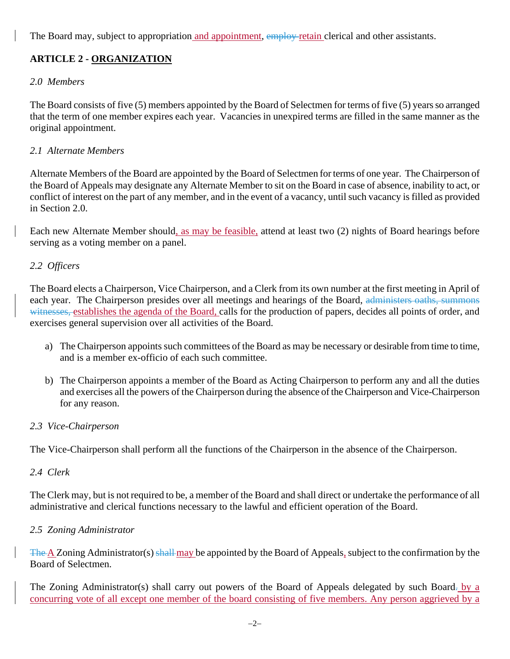The Board may, subject to appropriation and appointment, employ retain clerical and other assistants.

# **ARTICLE 2 - ORGANIZATION**

# *2.0 Members*

The Board consists of five (5) members appointed by the Board of Selectmen for terms of five (5) years so arranged that the term of one member expires each year. Vacancies in unexpired terms are filled in the same manner as the original appointment.

# *2.1 Alternate Members*

Alternate Members of the Board are appointed by the Board of Selectmen for terms of one year. The Chairperson of the Board of Appeals may designate any Alternate Member to sit on the Board in case of absence, inability to act, or conflict of interest on the part of any member, and in the event of a vacancy, until such vacancy is filled as provided in Section 2.0.

Each new Alternate Member should, as may be feasible, attend at least two (2) nights of Board hearings before serving as a voting member on a panel.

# *2.2 Officers*

The Board elects a Chairperson, Vice Chairperson, and a Clerk from its own number at the first meeting in April of each year. The Chairperson presides over all meetings and hearings of the Board, administers oaths, summons witnesses, establishes the agenda of the Board, calls for the production of papers, decides all points of order, and exercises general supervision over all activities of the Board.

- a) The Chairperson appoints such committees of the Board as may be necessary or desirable from time to time, and is a member ex-officio of each such committee.
- b) The Chairperson appoints a member of the Board as Acting Chairperson to perform any and all the duties and exercises all the powers of the Chairperson during the absence of the Chairperson and Vice-Chairperson for any reason.

# *2.3 Vice-Chairperson*

The Vice-Chairperson shall perform all the functions of the Chairperson in the absence of the Chairperson.

# *2.4 Clerk*

The Clerk may, but is not required to be, a member of the Board and shall direct or undertake the performance of all administrative and clerical functions necessary to the lawful and efficient operation of the Board.

# *2.5 Zoning Administrator*

The  $\Delta$  Zoning Administrator(s) shall may be appointed by the Board of Appeals, subject to the confirmation by the Board of Selectmen.

The Zoning Administrator(s) shall carry out powers of the Board of Appeals delegated by such Board. by a concurring vote of all except one member of the board consisting of five members. Any person aggrieved by a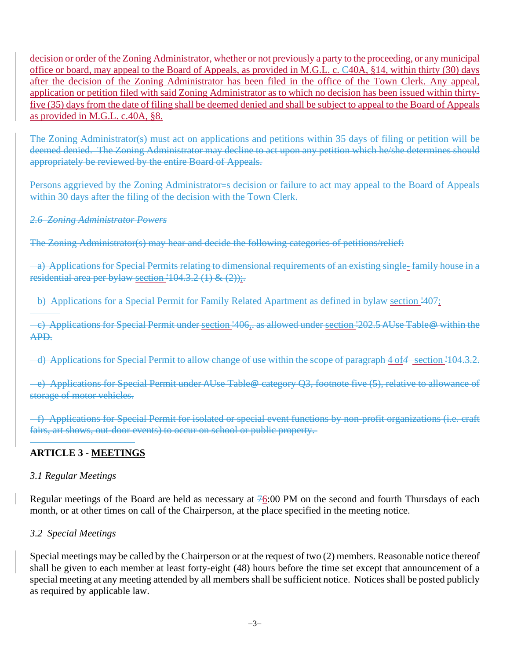decision or order of the Zoning Administrator, whether or not previously a party to the proceeding, or any municipal office or board, may appeal to the Board of Appeals, as provided in M.G.L. c.  $\epsilon$ 40A, §14, within thirty (30) days after the decision of the Zoning Administrator has been filed in the office of the Town Clerk. Any appeal, application or petition filed with said Zoning Administrator as to which no decision has been issued within thirtyfive (35) days from the date of filing shall be deemed denied and shall be subject to appeal to the Board of Appeals as provided in M.G.L. c.40A, §8.

The Zoning Administrator(s) must act on applications and petitions within 35 days of filing or petition will be deemed denied. The Zoning Administrator may decline to act upon any petition which he/she determines should appropriately be reviewed by the entire Board of Appeals.

Persons aggrieved by the Zoning Administrator=s decision or failure to act may appeal to the Board of Appeals within 30 days after the filing of the decision with the Town Clerk.

#### *2.6 Zoning Administrator Powers*

The Zoning Administrator(s) may hear and decide the following categories of petitions/relief:

 a) Applications for Special Permits relating to dimensional requirements of an existing single- family house in a residential area per bylaw section  $-104.3.2$  (1) & (2));

b) Applications for a Special Permit for Family Related Apartment as defined in bylaw section '407;

 c) Applications for Special Permit under section '406,. as allowed under section '202.5 AUse Table@ within the APD.

d) Applications for Special Permit to allow change of use within the scope of paragraph 4 of*4* section '104.3.2.

 e) Applications for Special Permit under AUse Table@ category Q3, footnote five (5), relative to allowance of storage of motor vehicles.

 f) Applications for Special Permit for isolated or special event functions by non-profit organizations (i.e. craft fairs, art shows, out-door events) to occur on school or public property.

#### $\overline{a}$ **ARTICLE 3 - MEETINGS**

#### *3.1 Regular Meetings*

Regular meetings of the Board are held as necessary at 76:00 PM on the second and fourth Thursdays of each month, or at other times on call of the Chairperson, at the place specified in the meeting notice.

#### *3.2 Special Meetings*

Special meetings may be called by the Chairperson or at the request of two (2) members. Reasonable notice thereof shall be given to each member at least forty-eight (48) hours before the time set except that announcement of a special meeting at any meeting attended by all members shall be sufficient notice. Notices shall be posted publicly as required by applicable law.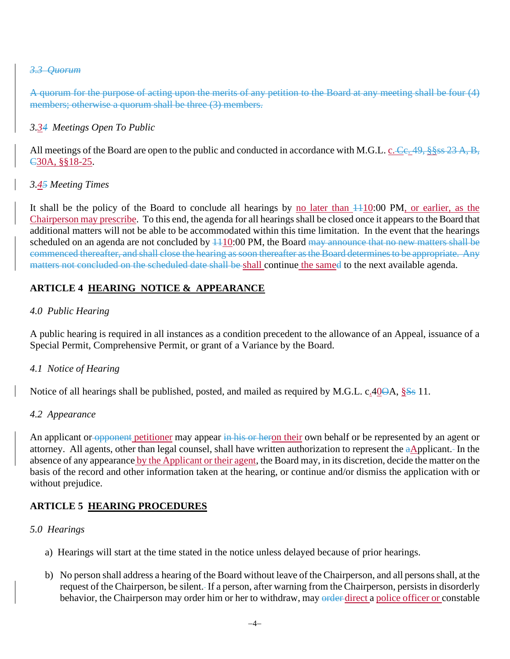#### *3.3 Quorum*

A quorum for the purpose of acting upon the merits of any petition to the Board at any meeting shall be four (4) members; otherwise a quorum shall be three (3) members.

#### *3.34 Meetings Open To Public*

All meetings of the Board are open to the public and conducted in accordance with M.G.L. c. Ce. 49, §§ss 23 A, B, C30A, §§18-25.

#### *3.45 Meeting Times*

It shall be the policy of the Board to conclude all hearings by no later than  $\pm 10:00$  PM, or earlier, as the Chairperson may prescribe. To this end, the agenda for all hearings shall be closed once it appears to the Board that additional matters will not be able to be accommodated within this time limitation. In the event that the hearings scheduled on an agenda are not concluded by  $\frac{110:00 \text{ PM}}{10:00 \text{ PM}}$ , the Board may announce that no new matters shall be commenced thereafter, and shall close the hearing as soon thereafter as the Board determines to be appropriate. Any matters not concluded on the scheduled date shall be shall continue the samed to the next available agenda.

# **ARTICLE 4 HEARING NOTICE & APPEARANCE**

#### *4.0 Public Hearing*

A public hearing is required in all instances as a condition precedent to the allowance of an Appeal, issuance of a Special Permit, Comprehensive Permit, or grant of a Variance by the Board.

#### *4.1 Notice of Hearing*

Notice of all hearings shall be published, posted, and mailed as required by M.G.L. c.40 $\Theta A$ ,  $\S S$ s 11.

#### *4.2 Appearance*

An applicant or opponent petitioner may appear in his or heron their own behalf or be represented by an agent or attorney. All agents, other than legal counsel, shall have written authorization to represent the aApplicant. In the absence of any appearance by the Applicant or their agent, the Board may, in its discretion, decide the matter on the basis of the record and other information taken at the hearing, or continue and/or dismiss the application with or without prejudice.

# **ARTICLE 5 HEARING PROCEDURES**

#### *5.0 Hearings*

- a) Hearings will start at the time stated in the notice unless delayed because of prior hearings.
- b) No person shall address a hearing of the Board without leave of the Chairperson, and all persons shall, at the request of the Chairperson, be silent. If a person, after warning from the Chairperson, persists in disorderly behavior, the Chairperson may order him or her to withdraw, may order direct a police officer or constable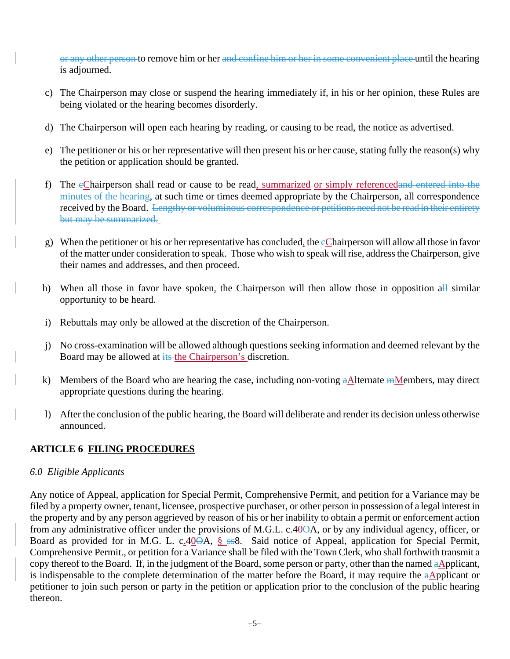or any other person to remove him or her and confine him or her in some convenient place until the hearing is adjourned.

- c) The Chairperson may close or suspend the hearing immediately if, in his or her opinion, these Rules are being violated or the hearing becomes disorderly.
- d) The Chairperson will open each hearing by reading, or causing to be read, the notice as advertised.
- e) The petitioner or his or her representative will then present his or her cause, stating fully the reason(s) why the petition or application should be granted.
- f) The cChairperson shall read or cause to be read, summarized or simply referencedand entered into the minutes of the hearing, at such time or times deemed appropriate by the Chairperson, all correspondence received by the Board. Lengthy or voluminous correspondence or petitions need not be read in their entirety but may be summarized.
- g) When the petitioner or his or her representative has concluded, the  $e$ Chairperson will allow all those in favor of the matter under consideration to speak. Those who wish to speak will rise, address the Chairperson, give their names and addresses, and then proceed.
- h) When all those in favor have spoken, the Chairperson will then allow those in opposition all similar opportunity to be heard.
- i) Rebuttals may only be allowed at the discretion of the Chairperson.
- j) No cross-examination will be allowed although questions seeking information and deemed relevant by the Board may be allowed at its the Chairperson's discretion.
- k) Members of the Board who are hearing the case, including non-voting  $aA$  ternate  $m$  Members, may direct appropriate questions during the hearing.
- l) After the conclusion of the public hearing, the Board will deliberate and render its decision unless otherwise announced.

# **ARTICLE 6 FILING PROCEDURES**

#### *6.0 Eligible Applicants*

Any notice of Appeal, application for Special Permit, Comprehensive Permit, and petition for a Variance may be filed by a property owner, tenant, licensee, prospective purchaser, or other person in possession of a legal interest in the property and by any person aggrieved by reason of his or her inability to obtain a permit or enforcement action from any administrative officer under the provisions of M.G.L. c.40<del>O</del>A, or by any individual agency, officer, or Board as provided for in M.G. L. c.40<del>OA, § ss</del>8. Said notice of Appeal, application for Special Permit, Comprehensive Permit., or petition for a Variance shall be filed with the Town Clerk, who shall forthwith transmit a copy thereof to the Board. If, in the judgment of the Board, some person or party, other than the named aApplicant, is indispensable to the complete determination of the matter before the Board, it may require the aApplicant or petitioner to join such person or party in the petition or application prior to the conclusion of the public hearing thereon.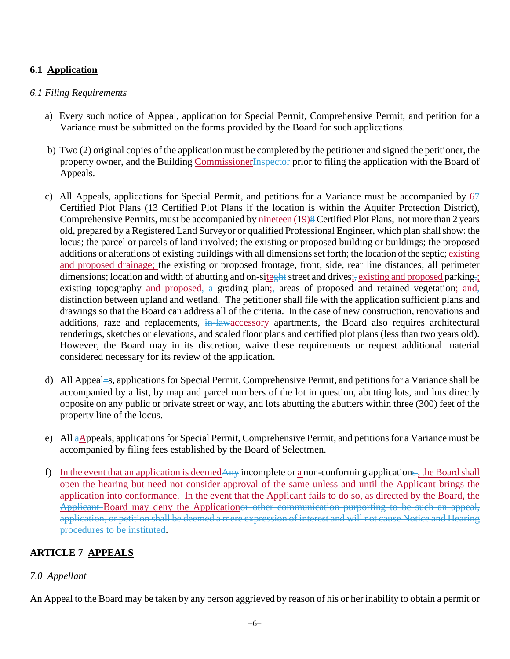# **6.1 Application**

#### *6.1 Filing Requirements*

- a) Every such notice of Appeal, application for Special Permit, Comprehensive Permit, and petition for a Variance must be submitted on the forms provided by the Board for such applications.
- b) Two (2) original copies of the application must be completed by the petitioner and signed the petitioner, the property owner, and the Building Commissioner Inspector prior to filing the application with the Board of Appeals.
- c) All Appeals, applications for Special Permit, and petitions for a Variance must be accompanied by  $6\frac{1}{2}$ Certified Plot Plans (13 Certified Plot Plans if the location is within the Aquifer Protection District), Comprehensive Permits, must be accompanied by nineteen (19)8 Certified Plot Plans, not more than 2 years old, prepared by a Registered Land Surveyor or qualified Professional Engineer, which plan shall show: the locus; the parcel or parcels of land involved; the existing or proposed building or buildings; the proposed additions or alterations of existing buildings with all dimensions set forth; the location of the septic; existing and proposed drainage; the existing or proposed frontage, front, side, rear line distances; all perimeter dimensions; location and width of abutting and on-siteght street and drives; existing and proposed parking,; existing topography and proposed, a grading plan; areas of proposed and retained vegetation; and, distinction between upland and wetland. The petitioner shall file with the application sufficient plans and drawings so that the Board can address all of the criteria. In the case of new construction, renovations and additions, raze and replacements, in-lawaccessory apartments, the Board also requires architectural renderings, sketches or elevations, and scaled floor plans and certified plot plans (less than two years old). However, the Board may in its discretion, waive these requirements or request additional material considered necessary for its review of the application.
- d) All Appeal=s, applications for Special Permit, Comprehensive Permit, and petitions for a Variance shall be accompanied by a list, by map and parcel numbers of the lot in question, abutting lots, and lots directly opposite on any public or private street or way, and lots abutting the abutters within three (300) feet of the property line of the locus.
- e) All aAppeals, applications for Special Permit, Comprehensive Permit, and petitions for a Variance must be accompanied by filing fees established by the Board of Selectmen.
- f) In the event that an application is deemedAny incomplete or a non-conforming applications, the Board shall open the hearing but need not consider approval of the same unless and until the Applicant brings the application into conformance. In the event that the Applicant fails to do so, as directed by the Board, the Applicant Board may deny the Applicationor other communication purporting to be such an appeal, application, or petition shall be deemed a mere expression of interest and will not cause Notice and Hearing procedures to be instituted.

# **ARTICLE 7 APPEALS**

# *7.0 Appellant*

An Appeal to the Board may be taken by any person aggrieved by reason of his or her inability to obtain a permit or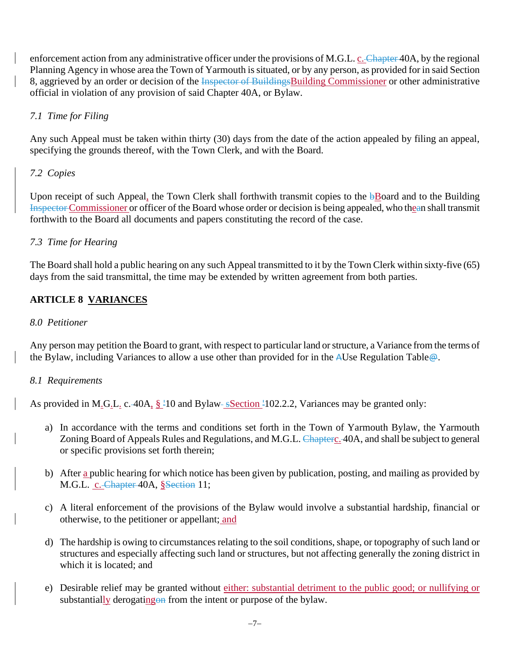enforcement action from any administrative officer under the provisions of M.G.L. c. Chapter 40A, by the regional Planning Agency in whose area the Town of Yarmouth is situated, or by any person, as provided for in said Section 8, aggrieved by an order or decision of the Inspector of BuildingsBuilding Commissioner or other administrative official in violation of any provision of said Chapter 40A, or Bylaw.

# *7.1 Time for Filing*

Any such Appeal must be taken within thirty (30) days from the date of the action appealed by filing an appeal, specifying the grounds thereof, with the Town Clerk, and with the Board.

# *7.2 Copies*

Upon receipt of such Appeal, the Town Clerk shall forthwith transmit copies to the  $\frac{1}{2}$ Board and to the Building Inspector Commissioner or officer of the Board whose order or decision is being appealed, who thean shall transmit forthwith to the Board all documents and papers constituting the record of the case.

# *7.3 Time for Hearing*

The Board shall hold a public hearing on any such Appeal transmitted to it by the Town Clerk within sixty-five (65) days from the said transmittal, the time may be extended by written agreement from both parties.

# **ARTICLE 8 VARIANCES**

#### *8.0 Petitioner*

Any person may petition the Board to grant, with respect to particular land or structure, a Variance from the terms of the Bylaw, including Variances to allow a use other than provided for in the AUse Regulation Table@.

# *8.1 Requirements*

As provided in M.G.L. c. 40A,  $\S$  <sup>1</sup>10 and Bylaw  $-S$  Section <sup>1</sup>102.2.2, Variances may be granted only:

- a) In accordance with the terms and conditions set forth in the Town of Yarmouth Bylaw, the Yarmouth Zoning Board of Appeals Rules and Regulations, and M.G.L. Chapterc. 40A, and shall be subject to general or specific provisions set forth therein;
- b) After a public hearing for which notice has been given by publication, posting, and mailing as provided by M.G.L. c. Chapter 40A, §Section 11;
- c) A literal enforcement of the provisions of the Bylaw would involve a substantial hardship, financial or otherwise, to the petitioner or appellant; and
- d) The hardship is owing to circumstances relating to the soil conditions, shape, or topography of such land or structures and especially affecting such land or structures, but not affecting generally the zoning district in which it is located; and
- e) Desirable relief may be granted without either: substantial detriment to the public good; or nullifying or substantially derogating on from the intent or purpose of the bylaw.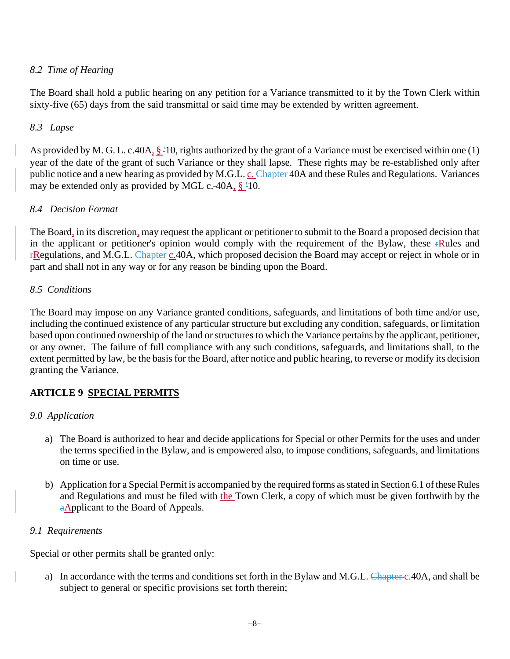# *8.2 Time of Hearing*

The Board shall hold a public hearing on any petition for a Variance transmitted to it by the Town Clerk within sixty-five (65) days from the said transmittal or said time may be extended by written agreement.

#### *8.3 Lapse*

As provided by M. G. L. c.40A,  $\S$ <sup>1</sup>10, rights authorized by the grant of a Variance must be exercised within one (1) year of the date of the grant of such Variance or they shall lapse. These rights may be re-established only after public notice and a new hearing as provided by M.G.L. c. Chapter 40A and these Rules and Regulations. Variances may be extended only as provided by MGL c. 40A,  $\S$  <sup>1</sup>10.

#### *8.4 Decision Format*

The Board, in its discretion, may request the applicant or petitioner to submit to the Board a proposed decision that in the applicant or petitioner's opinion would comply with the requirement of the Bylaw, these  $\mathbf{r}$ Rules and **FRegulations, and M.G.L.** Chapter c.40A, which proposed decision the Board may accept or reject in whole or in part and shall not in any way or for any reason be binding upon the Board.

#### *8.5 Conditions*

The Board may impose on any Variance granted conditions, safeguards, and limitations of both time and/or use, including the continued existence of any particular structure but excluding any condition, safeguards, or limitation based upon continued ownership of the land or structures to which the Variance pertains by the applicant, petitioner, or any owner. The failure of full compliance with any such conditions, safeguards, and limitations shall, to the extent permitted by law, be the basis for the Board, after notice and public hearing, to reverse or modify its decision granting the Variance.

# **ARTICLE 9 SPECIAL PERMITS**

# *9.0 Application*

- a) The Board is authorized to hear and decide applications for Special or other Permits for the uses and under the terms specified in the Bylaw, and is empowered also, to impose conditions, safeguards, and limitations on time or use.
- b) Application for a Special Permit is accompanied by the required forms as stated in Section 6.1 of these Rules and Regulations and must be filed with the Town Clerk, a copy of which must be given forthwith by the aApplicant to the Board of Appeals.

# *9.1 Requirements*

Special or other permits shall be granted only:

a) In accordance with the terms and conditions set forth in the Bylaw and M.G.L. Chapter c.40A, and shall be subject to general or specific provisions set forth therein;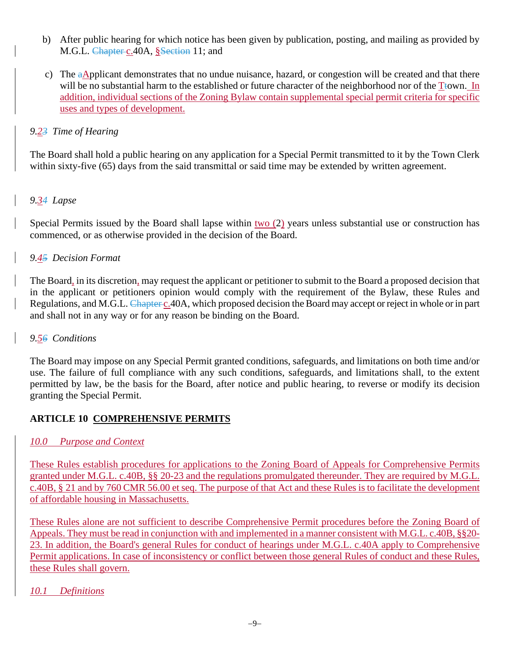- b) After public hearing for which notice has been given by publication, posting, and mailing as provided by M.G.L. Chapter c.40A, §Section 11; and
- c) The aApplicant demonstrates that no undue nuisance, hazard, or congestion will be created and that there will be no substantial harm to the established or future character of the neighborhood nor of the  $T<sub>to</sub>$  m. addition, individual sections of the Zoning Bylaw contain supplemental special permit criteria for specific uses and types of development.

# *9.23 Time of Hearing*

The Board shall hold a public hearing on any application for a Special Permit transmitted to it by the Town Clerk within sixty-five (65) days from the said transmittal or said time may be extended by written agreement.

# *9.34 Lapse*

Special Permits issued by the Board shall lapse within two (2) years unless substantial use or construction has commenced, or as otherwise provided in the decision of the Board.

# *9.45 Decision Format*

The Board, in its discretion, may request the applicant or petitioner to submit to the Board a proposed decision that in the applicant or petitioners opinion would comply with the requirement of the Bylaw, these Rules and Regulations, and M.G.L. Chapter c.40A, which proposed decision the Board may accept or reject in whole or in part and shall not in any way or for any reason be binding on the Board.

# *9.56 Conditions*

The Board may impose on any Special Permit granted conditions, safeguards, and limitations on both time and/or use. The failure of full compliance with any such conditions, safeguards, and limitations shall, to the extent permitted by law, be the basis for the Board, after notice and public hearing, to reverse or modify its decision granting the Special Permit.

# **ARTICLE 10 COMPREHENSIVE PERMITS**

# *10.0 Purpose and Context*

These Rules establish procedures for applications to the Zoning Board of Appeals for Comprehensive Permits granted under M.G.L. c.40B, §§ 20-23 and the regulations promulgated thereunder. They are required by M.G.L. c.40B, § 21 and by 760 CMR 56.00 et seq. The purpose of that Act and these Rules is to facilitate the development of affordable housing in Massachusetts.

These Rules alone are not sufficient to describe Comprehensive Permit procedures before the Zoning Board of Appeals. They must be read in conjunction with and implemented in a manner consistent with M.G.L. c.40B, §§20- 23. In addition, the Board's general Rules for conduct of hearings under M.G.L. c.40A apply to Comprehensive Permit applications. In case of inconsistency or conflict between those general Rules of conduct and these Rules, these Rules shall govern.

# *10.1 Definitions*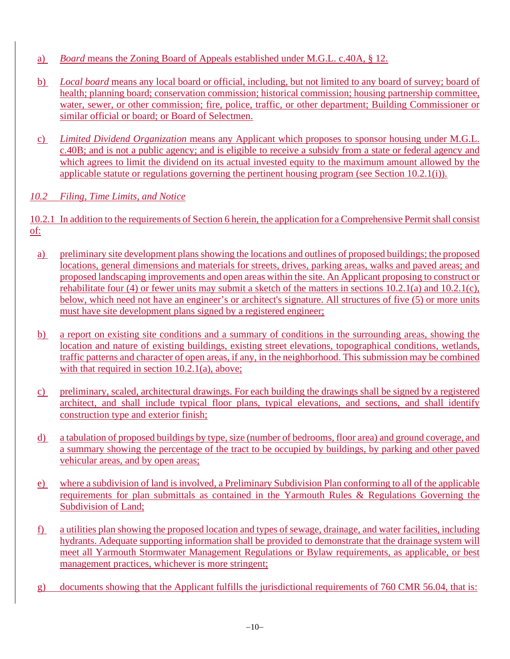- a) *Board* means the Zoning Board of Appeals established under M.G.L. c.40A, § 12.
- b) *Local board* means any local board or official, including, but not limited to any board of survey; board of health; planning board; conservation commission; historical commission; housing partnership committee, water, sewer, or other commission; fire, police, traffic, or other department; Building Commissioner or similar official or board; or Board of Selectmen.
- c) *Limited Dividend Organization* means any Applicant which proposes to sponsor housing under M.G.L. c.40B; and is not a public agency; and is eligible to receive a subsidy from a state or federal agency and which agrees to limit the dividend on its actual invested equity to the maximum amount allowed by the applicable statute or regulations governing the pertinent housing program (see Section 10.2.1(i)).

# *10.2 Filing, Time Limits, and Notice*

10.2.1 In addition to the requirements of Section 6 herein, the application for a Comprehensive Permit shall consist of:

- a) preliminary site development plans showing the locations and outlines of proposed buildings; the proposed locations, general dimensions and materials for streets, drives, parking areas, walks and paved areas; and proposed landscaping improvements and open areas within the site. An Applicant proposing to construct or rehabilitate four (4) or fewer units may submit a sketch of the matters in sections 10.2.1(a) and 10.2.1(c), below, which need not have an engineer's or architect's signature. All structures of five (5) or more units must have site development plans signed by a registered engineer;
- b) a report on existing site conditions and a summary of conditions in the surrounding areas, showing the location and nature of existing buildings, existing street elevations, topographical conditions, wetlands, traffic patterns and character of open areas, if any, in the neighborhood. This submission may be combined with that required in section 10.2.1(a), above;
- c) preliminary, scaled, architectural drawings. For each building the drawings shall be signed by a registered architect, and shall include typical floor plans, typical elevations, and sections, and shall identify construction type and exterior finish;
- d) a tabulation of proposed buildings by type, size (number of bedrooms, floor area) and ground coverage, and a summary showing the percentage of the tract to be occupied by buildings, by parking and other paved vehicular areas, and by open areas;
- e) where a subdivision of land is involved, a Preliminary Subdivision Plan conforming to all of the applicable requirements for plan submittals as contained in the Yarmouth Rules & Regulations Governing the Subdivision of Land;
- f) a utilities plan showing the proposed location and types of sewage, drainage, and water facilities, including hydrants. Adequate supporting information shall be provided to demonstrate that the drainage system will meet all Yarmouth Stormwater Management Regulations or Bylaw requirements, as applicable, or best management practices, whichever is more stringent;
- g) documents showing that the Applicant fulfills the jurisdictional requirements of 760 CMR 56.04, that is: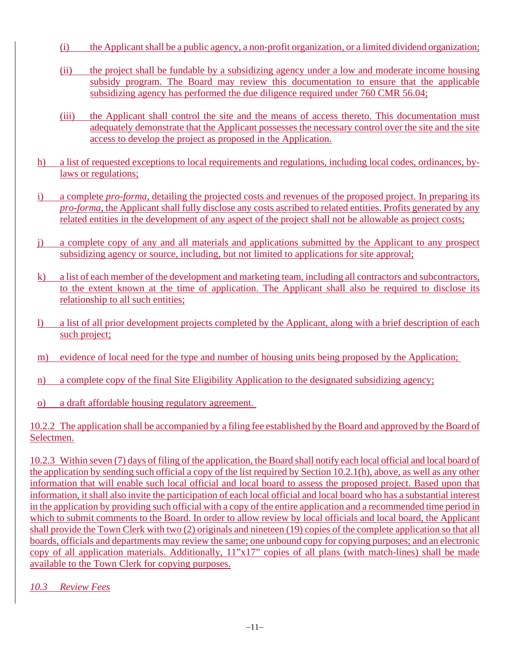- (i) the Applicant shall be a public agency, a non-profit organization, or a limited dividend organization;
- (ii) the project shall be fundable by a subsidizing agency under a low and moderate income housing subsidy program. The Board may review this documentation to ensure that the applicable subsidizing agency has performed the due diligence required under 760 CMR 56.04;
- (iii) the Applicant shall control the site and the means of access thereto. This documentation must adequately demonstrate that the Applicant possesses the necessary control over the site and the site access to develop the project as proposed in the Application.
- h) a list of requested exceptions to local requirements and regulations, including local codes, ordinances, bylaws or regulations;
- i) a complete *pro-forma*, detailing the projected costs and revenues of the proposed project. In preparing its *pro-forma*, the Applicant shall fully disclose any costs ascribed to related entities. Profits generated by any related entities in the development of any aspect of the project shall not be allowable as project costs;
- j) a complete copy of any and all materials and applications submitted by the Applicant to any prospect subsidizing agency or source, including, but not limited to applications for site approval;
- k) a list of each member of the development and marketing team, including all contractors and subcontractors, to the extent known at the time of application. The Applicant shall also be required to disclose its relationship to all such entities;
- l) a list of all prior development projects completed by the Applicant, along with a brief description of each such project;
- m) evidence of local need for the type and number of housing units being proposed by the Application;
- n) a complete copy of the final Site Eligibility Application to the designated subsidizing agency;
- o) a draft affordable housing regulatory agreement.

10.2.2 The application shall be accompanied by a filing fee established by the Board and approved by the Board of Selectmen.

10.2.3 Within seven (7) days of filing of the application, the Board shall notify each local official and local board of the application by sending such official a copy of the list required by Section 10.2.1(h), above, as well as any other information that will enable such local official and local board to assess the proposed project. Based upon that information, it shall also invite the participation of each local official and local board who has a substantial interest in the application by providing such official with a copy of the entire application and a recommended time period in which to submit comments to the Board. In order to allow review by local officials and local board, the Applicant shall provide the Town Clerk with two (2) originals and nineteen (19) copies of the complete application so that all boards, officials and departments may review the same; one unbound copy for copying purposes; and an electronic copy of all application materials. Additionally, 11"x17" copies of all plans (with match-lines) shall be made available to the Town Clerk for copying purposes.

*10.3 Review Fees*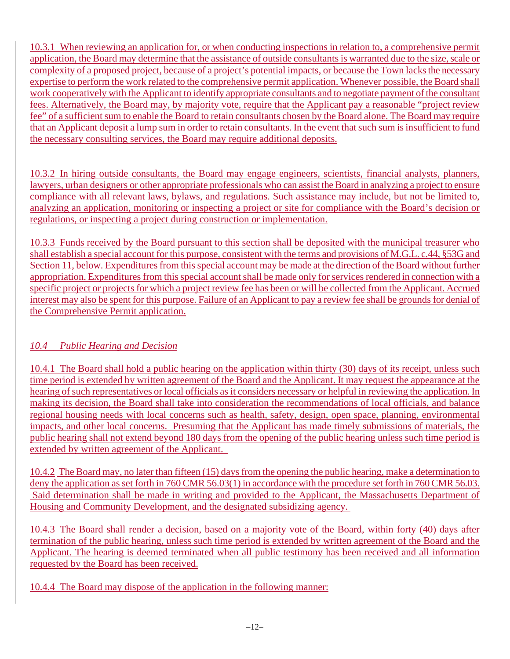10.3.1 When reviewing an application for, or when conducting inspections in relation to, a comprehensive permit application, the Board may determine that the assistance of outside consultants is warranted due to the size, scale or complexity of a proposed project, because of a project's potential impacts, or because the Town lacks the necessary expertise to perform the work related to the comprehensive permit application. Whenever possible, the Board shall work cooperatively with the Applicant to identify appropriate consultants and to negotiate payment of the consultant fees. Alternatively, the Board may, by majority vote, require that the Applicant pay a reasonable "project review fee" of a sufficient sum to enable the Board to retain consultants chosen by the Board alone. The Board may require that an Applicant deposit a lump sum in order to retain consultants. In the event that such sum is insufficient to fund the necessary consulting services, the Board may require additional deposits.

10.3.2 In hiring outside consultants, the Board may engage engineers, scientists, financial analysts, planners, lawyers, urban designers or other appropriate professionals who can assist the Board in analyzing a project to ensure compliance with all relevant laws, bylaws, and regulations. Such assistance may include, but not be limited to, analyzing an application, monitoring or inspecting a project or site for compliance with the Board's decision or regulations, or inspecting a project during construction or implementation.

10.3.3 Funds received by the Board pursuant to this section shall be deposited with the municipal treasurer who shall establish a special account for this purpose, consistent with the terms and provisions of M.G.L. c.44, §53G and Section 11, below. Expenditures from this special account may be made at the direction of the Board without further appropriation. Expenditures from this special account shall be made only for services rendered in connection with a specific project or projects for which a project review fee has been or will be collected from the Applicant. Accrued interest may also be spent for this purpose. Failure of an Applicant to pay a review fee shall be grounds for denial of the Comprehensive Permit application.

# *10.4 Public Hearing and Decision*

10.4.1 The Board shall hold a public hearing on the application within thirty (30) days of its receipt, unless such time period is extended by written agreement of the Board and the Applicant. It may request the appearance at the hearing of such representatives or local officials as it considers necessary or helpful in reviewing the application. In making its decision, the Board shall take into consideration the recommendations of local officials, and balance regional housing needs with local concerns such as health, safety, design, open space, planning, environmental impacts, and other local concerns. Presuming that the Applicant has made timely submissions of materials, the public hearing shall not extend beyond 180 days from the opening of the public hearing unless such time period is extended by written agreement of the Applicant.

10.4.2 The Board may, no later than fifteen (15) days from the opening the public hearing, make a determination to deny the application as set forth in 760 CMR 56.03(1) in accordance with the procedure set forth in 760 CMR 56.03. Said determination shall be made in writing and provided to the Applicant, the Massachusetts Department of Housing and Community Development, and the designated subsidizing agency.

10.4.3 The Board shall render a decision, based on a majority vote of the Board, within forty (40) days after termination of the public hearing, unless such time period is extended by written agreement of the Board and the Applicant. The hearing is deemed terminated when all public testimony has been received and all information requested by the Board has been received.

10.4.4 The Board may dispose of the application in the following manner: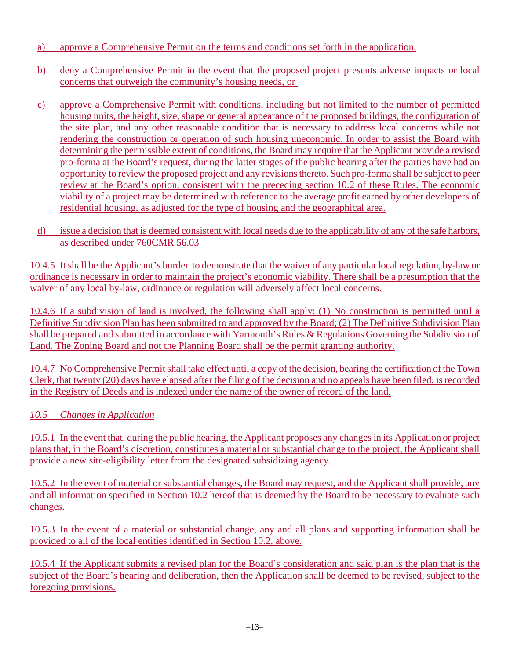- a) approve a Comprehensive Permit on the terms and conditions set forth in the application,
- b) deny a Comprehensive Permit in the event that the proposed project presents adverse impacts or local concerns that outweigh the community's housing needs, or
- c) approve a Comprehensive Permit with conditions, including but not limited to the number of permitted housing units, the height, size, shape or general appearance of the proposed buildings, the configuration of the site plan, and any other reasonable condition that is necessary to address local concerns while not rendering the construction or operation of such housing uneconomic. In order to assist the Board with determining the permissible extent of conditions, the Board may require that the Applicant provide a revised pro-forma at the Board's request, during the latter stages of the public hearing after the parties have had an opportunity to review the proposed project and any revisionsthereto. Such pro-forma shall be subject to peer review at the Board's option, consistent with the preceding section 10.2 of these Rules. The economic viability of a project may be determined with reference to the average profit earned by other developers of residential housing, as adjusted for the type of housing and the geographical area.
- d) issue a decision that is deemed consistent with local needs due to the applicability of any of the safe harbors, as described under 760CMR 56.03

10.4.5 It shall be the Applicant's burden to demonstrate that the waiver of any particular local regulation, by-law or ordinance is necessary in order to maintain the project's economic viability. There shall be a presumption that the waiver of any local by-law, ordinance or regulation will adversely affect local concerns.

10.4.6 If a subdivision of land is involved, the following shall apply: (1) No construction is permitted until a Definitive Subdivision Plan has been submitted to and approved by the Board; (2) The Definitive Subdivision Plan shall be prepared and submitted in accordance with Yarmouth's Rules & Regulations Governing the Subdivision of Land. The Zoning Board and not the Planning Board shall be the permit granting authority.

10.4.7 No Comprehensive Permit shall take effect until a copy of the decision, bearing the certification of the Town Clerk, that twenty (20) days have elapsed after the filing of the decision and no appeals have been filed, is recorded in the Registry of Deeds and is indexed under the name of the owner of record of the land.

# *10.5 Changes in Application*

10.5.1 In the event that, during the public hearing, the Applicant proposes any changes in its Application or project plans that, in the Board's discretion, constitutes a material or substantial change to the project, the Applicant shall provide a new site-eligibility letter from the designated subsidizing agency.

10.5.2 In the event of material or substantial changes, the Board may request, and the Applicant shall provide, any and all information specified in Section 10.2 hereof that is deemed by the Board to be necessary to evaluate such changes.

10.5.3 In the event of a material or substantial change, any and all plans and supporting information shall be provided to all of the local entities identified in Section 10.2, above.

10.5.4 If the Applicant submits a revised plan for the Board's consideration and said plan is the plan that is the subject of the Board's hearing and deliberation, then the Application shall be deemed to be revised, subject to the foregoing provisions.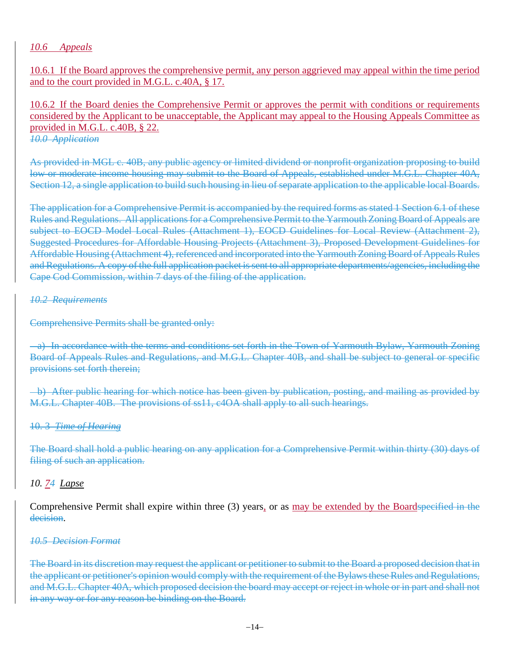#### *10.6 Appeals*

10.6.1 If the Board approves the comprehensive permit, any person aggrieved may appeal within the time period and to the court provided in M.G.L. c.40A, § 17.

10.6.2 If the Board denies the Comprehensive Permit or approves the permit with conditions or requirements considered by the Applicant to be unacceptable, the Applicant may appeal to the Housing Appeals Committee as provided in M.G.L. c.40B, § 22. *10.0 Application*

As provided in MGL c. 40B, any public agency or limited dividend or nonprofit organization proposing to build low or moderate income housing may submit to the Board of Appeals, established under M.G.L. Chapter 40A, Section 12, a single application to build such housing in lieu of separate application to the applicable local Boards.

The application for a Comprehensive Permit is accompanied by the required forms as stated 1 Section 6.1 of these Rules and Regulations. All applications for a Comprehensive Permit to the Yarmouth Zoning Board of Appeals are subject to EOCD Model Local Rules (Attachment 1), EOCD Guidelines for Local Review (Attachment 2), Suggested Procedures for Affordable Housing Projects (Attachment 3), Proposed Development Guidelines for Affordable Housing (Attachment 4), referenced and incorporated into the Yarmouth Zoning Board of Appeals Rules and Regulations. A copy of the full application packet is sent to all appropriate departments/agencies, including the Cape Cod Commission, within 7 days of the filing of the application.

#### *10.2 Requirements*

Comprehensive Permits shall be granted only:

 a) In accordance with the terms and conditions set forth in the Town of Yarmouth Bylaw, Yarmouth Zoning Board of Appeals Rules and Regulations, and M.G.L. Chapter 40B, and shall be subject to general or specific provisions set forth therein;

 b) After public hearing for which notice has been given by publication, posting, and mailing as provided by M.G.L. Chapter 40B. The provisions of ss11, c4OA shall apply to all such hearings.

#### 10. 3 *Time of Hearing*

The Board shall hold a public hearing on any application for a Comprehensive Permit within thirty (30) days of filing of such an application.

#### *10. 74 Lapse*

Comprehensive Permit shall expire within three (3) years, or as may be extended by the Boardspecified in the decision.

#### *10.5 Decision Format*

The Board in its discretion may request the applicant or petitioner to submit to the Board a proposed decision that in the applicant or petitioner's opinion would comply with the requirement of the Bylaws these Rules and Regulations, and M.G.L. Chapter 40A, which proposed decision the board may accept or reject in whole or in part and shall not in any way or for any reason be binding on the Board.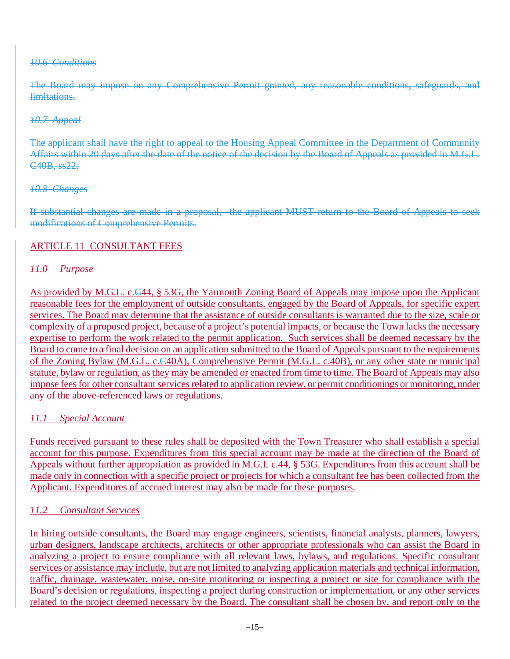#### *10.6 Conditions*

The Board may impose on any Comprehensive Permit granted, any reasonable conditions, safeguards, and limitations.

#### *10.7 Appeal*

The applicant shall have the right to appeal to the Housing Appeal Committee in the Department of Community Affairs within 20 days after the date of the notice of the decision by the Board of Appeals as provided in M.G.L. C40B, ss22.

#### *10.8 Changes*

If substantial changes are made in a proposal, the applicant MUST return to the Board of Appeals to seek modifications of Comprehensive Permits.

#### ARTICLE 11 CONSULTANT FEES

#### *11.0 Purpose*

As provided by M.G.L. c.C44, § 53G, the Yarmouth Zoning Board of Appeals may impose upon the Applicant reasonable fees for the employment of outside consultants, engaged by the Board of Appeals, for specific expert services. The Board may determine that the assistance of outside consultants is warranted due to the size, scale or complexity of a proposed project, because of a project's potential impacts, or because the Town lacks the necessary expertise to perform the work related to the permit application. Such services shall be deemed necessary by the Board to come to a final decision on an application submitted to the Board of Appeals pursuant to the requirements of the Zoning Bylaw (M.G.L. c.C40A), Comprehensive Permit (M.G.L. c.40B), or any other state or municipal statute, bylaw or regulation, as they may be amended or enacted from time to time. The Board of Appeals may also impose fees for other consultant services related to application review, or permit conditionings or monitoring, under any of the above-referenced laws or regulations.

#### *11.1 Special Account*

Funds received pursuant to these rules shall be deposited with the Town Treasurer who shall establish a special account for this purpose. Expenditures from this special account may be made at the direction of the Board of Appeals without further appropriation as p<u>rovided in M.G.L c.44, § 53G. Expenditures from this account shall be</u> made only in connection with a specific project or projects for which a consultant fee has been collected from the Applicant. Expenditures of accrued interest may also be made for these purposes.

#### *11.2 Consultant Services*

In hiring outside consultants, the Board may engage engineers, scientists, financial analysts, planners, lawyers, urban designers, landscape architects, architects or other appropriate professionals who can assist the Board in analyzing a project to ensure compliance with all relevant laws, bylaws, and regulations. Specific consultant services or assistance may include, but are not limited to analyzing application materials and technical information, traffic, drainage, wastewater, noise, on-site monitoring or inspecting a project or site for compliance with the Board's decision or regulations, inspecting a project during construction or implementation, or any other services related to the project deemed necessary by the Board. The consultant shall be chosen by, and report only to the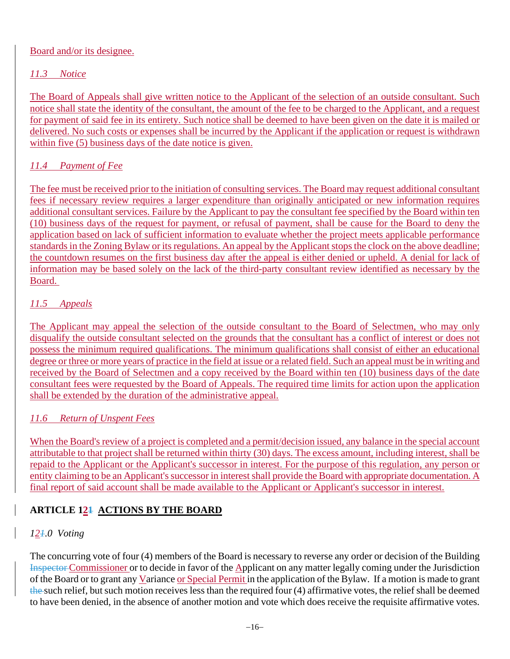# Board and/or its designee.

# *11.3 Notice*

The Board of Appeals shall give written notice to the Applicant of the selection of an outside consultant. Such notice shall state the identity of the consultant, the amount of the fee to be charged to the Applicant, and a request for payment of said fee in its entirety. Such notice shall be deemed to have been given on the date it is mailed or delivered. No such costs or expenses shall be incurred by the Applicant if the application or request is withdrawn within five (5) business days of the date notice is given.

# *11.4 Payment of Fee*

The fee must be received prior to the initiation of consulting services. The Board may request additional consultant fees if necessary review requires a larger expenditure than originally anticipated or new information requires additional consultant services. Failure by the Applicant to pay the consultant fee specified by the Board within ten (10) business days of the request for payment, or refusal of payment, shall be cause for the Board to deny the application based on lack of sufficient information to evaluate whether the project meets applicable performance standards in the Zoning Bylaw or its regulations. An appeal by the Applicant stops the clock on the above deadline; the countdown resumes on the first business day after the appeal is either denied or upheld. A denial for lack of information may be based solely on the lack of the third-party consultant review identified as necessary by the Board.

# *11.5 Appeals*

The Applicant may appeal the selection of the outside consultant to the Board of Selectmen, who may only disqualify the outside consultant selected on the grounds that the consultant has a conflict of interest or does not possess the minimum required qualifications. The minimum qualifications shall consist of either an educational degree or three or more years of practice in the field at issue or a related field. Such an appeal must be in writing and received by the Board of Selectmen and a copy received by the Board within ten (10) business days of the date consultant fees were requested by the Board of Appeals. The required time limits for action upon the application shall be extended by the duration of the administrative appeal.

# *11.6 Return of Unspent Fees*

When the Board's review of a project is completed and a permit/decision issued, any balance in the special account attributable to that project shall be returned within thirty (30) days. The excess amount, including interest, shall be repaid to the Applicant or the Applicant's successor in interest. For the purpose of this regulation, any person or entity claiming to be an Applicant's successor in interest shall provide the Board with appropriate documentation. A final report of said account shall be made available to the Applicant or Applicant's successor in interest.

# **ARTICLE 121 ACTIONS BY THE BOARD**

# *121.0 Voting*

The concurring vote of four (4) members of the Board is necessary to reverse any order or decision of the Building Inspector Commissioner or to decide in favor of the Applicant on any matter legally coming under the Jurisdiction of the Board or to grant any Variance or Special Permit in the application of the Bylaw. If a motion is made to grant the such relief, but such motion receives less than the required four (4) affirmative votes, the relief shall be deemed to have been denied, in the absence of another motion and vote which does receive the requisite affirmative votes.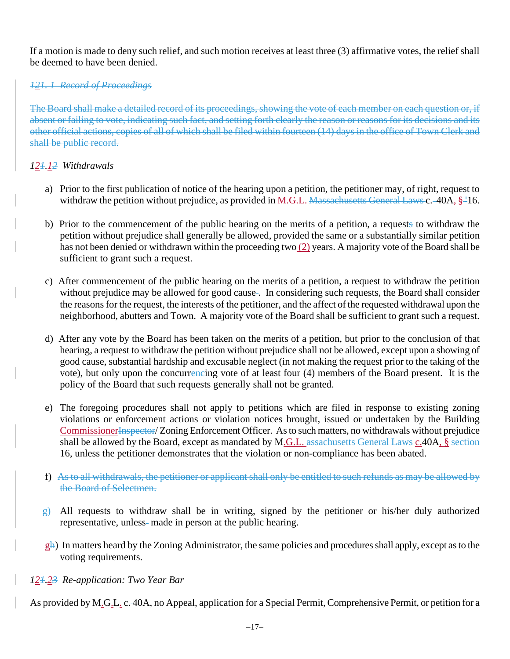If a motion is made to deny such relief, and such motion receives at least three (3) affirmative votes, the relief shall be deemed to have been denied.

# *121. 1 Record of Proceedings*

The Board shall make a detailed record of its proceedings, showing the vote of each member on each question or, if absent or failing to vote, indicating such fact, and setting forth clearly the reason or reasons for its decisions and its other official actions, copies of all of which shall be filed within fourteen (14) days in the office of Town Clerk and shall be public record.

#### *121.12 Withdrawals*

- a) Prior to the first publication of notice of the hearing upon a petition, the petitioner may, of right, request to withdraw the petition without prejudice, as provided in M.G.L. Massachusetts General Laws c. -40A,  $\S$ <sup>-1</sup>16.
- b) Prior to the commencement of the public hearing on the merits of a petition, a requests to withdraw the petition without prejudice shall generally be allowed, provided the same or a substantially similar petition has not been denied or withdrawn within the proceeding two  $(2)$  years. A majority vote of the Board shall be sufficient to grant such a request.
- c) After commencement of the public hearing on the merits of a petition, a request to withdraw the petition without prejudice may be allowed for good cause. In considering such requests, the Board shall consider the reasons for the request, the interests of the petitioner, and the affect of the requested withdrawal upon the neighborhood, abutters and Town. A majority vote of the Board shall be sufficient to grant such a request.
- d) After any vote by the Board has been taken on the merits of a petition, but prior to the conclusion of that hearing, a request to withdraw the petition without prejudice shall not be allowed, except upon a showing of good cause, substantial hardship and excusable neglect (in not making the request prior to the taking of the vote), but only upon the concurrencing vote of at least four (4) members of the Board present. It is the policy of the Board that such requests generally shall not be granted.
- e) The foregoing procedures shall not apply to petitions which are filed in response to existing zoning violations or enforcement actions or violation notices brought, issued or undertaken by the Building CommissionerInspector/ Zoning Enforcement Officer. As to such matters, no withdrawals without prejudice shall be allowed by the Board, except as mandated by M.G.L. assachusetts General Laws c.40A, § section 16, unless the petitioner demonstrates that the violation or non-compliance has been abated.
- f) As to all withdrawals, the petitioner or applicant shall only be entitled to such refunds as may be allowed by the Board of Selectmen.
- $\frac{g}{g}$  All requests to withdraw shall be in writing, signed by the petitioner or his/her duly authorized representative, unless- made in person at the public hearing.
	- gh) In matters heard by the Zoning Administrator, the same policies and procedures shall apply, except as to the voting requirements.

#### *121.23 Re-application: Two Year Bar*

As provided by M.G.L. c. 40A, no Appeal, application for a Special Permit, Comprehensive Permit, or petition for a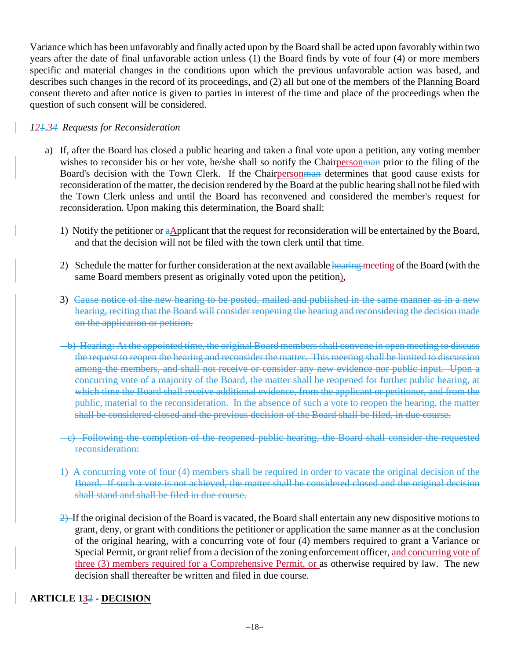Variance which has been unfavorably and finally acted upon by the Board shall be acted upon favorably within two years after the date of final unfavorable action unless (1) the Board finds by vote of four (4) or more members specific and material changes in the conditions upon which the previous unfavorable action was based, and describes such changes in the record of its proceedings, and (2) all but one of the members of the Planning Board consent thereto and after notice is given to parties in interest of the time and place of the proceedings when the question of such consent will be considered.

# *121.34 Requests for Reconsideration*

- a) If, after the Board has closed a public hearing and taken a final vote upon a petition, any voting member wishes to reconsider his or her vote, he/she shall so notify the Chairperson man prior to the filing of the Board's decision with the Town Clerk. If the Chairpersonman determines that good cause exists for reconsideration of the matter, the decision rendered by the Board at the public hearing shall not be filed with the Town Clerk unless and until the Board has reconvened and considered the member's request for reconsideration. Upon making this determination, the Board shall:
	- 1) Notify the petitioner or aApplicant that the request for reconsideration will be entertained by the Board, and that the decision will not be filed with the town clerk until that time.
	- 2) Schedule the matter for further consideration at the next available hearing meeting of the Board (with the same Board members present as originally voted upon the petition),
	- 3) Cause notice of the new hearing to be posted, mailed and published in the same manner as in a new hearing, reciting that the Board will consider reopening the hearing and reconsidering the decision made on the application or petition.
	- b) Hearing: At the appointed time, the original Board members shall convene in open meeting to discuss the request to reopen the hearing and reconsider the matter. This meeting shall be limited to discussion among the members, and shall not receive or consider any new evidence nor public input. Upon a concurring vote of a majority of the Board, the matter shall be reopened for further public hearing, at which time the Board shall receive additional evidence, from the applicant or petitioner, and from the public, material to the reconsideration. In the absence of such a vote to reopen the hearing, the matter shall be considered closed and the previous decision of the Board shall be filed, in due course.
	- c) Following the completion of the reopened public hearing, the Board shall consider the requested reconsideration:
	- 1) A concurring vote of four (4) members shall be required in order to vacate the original decision of the Board. If such a vote is not achieved, the matter shall be considered closed and the original decision shall stand and shall be filed in due course.
	- 2) If the original decision of the Board is vacated, the Board shall entertain any new dispositive motions to grant, deny, or grant with conditions the petitioner or application the same manner as at the conclusion of the original hearing, with a concurring vote of four (4) members required to grant a Variance or Special Permit, or grant relief from a decision of the zoning enforcement officer, and concurring vote of three (3) members required for a Comprehensive Permit, or as otherwise required by law. The new decision shall thereafter be written and filed in due course.

# **ARTICLE 132 - DECISION**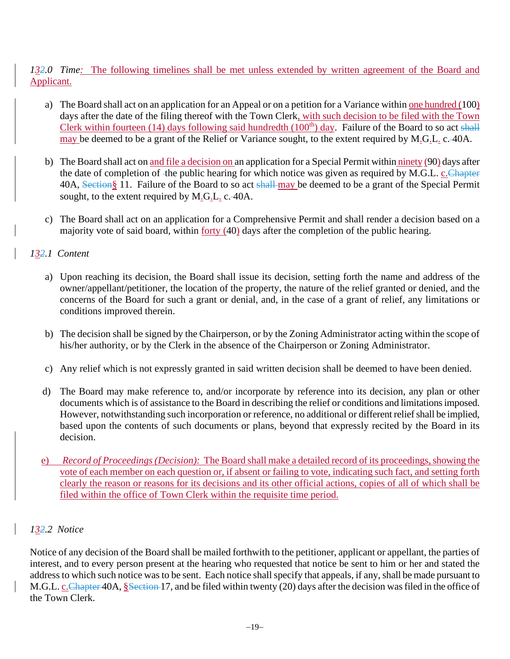*132.0 Time:* The following timelines shall be met unless extended by written agreement of the Board and Applicant.

- a) The Board shall act on an application for an Appeal or on a petition for a Variance within one hundred (100) days after the date of the filing thereof with the Town Clerk, with such decision to be filed with the Town Clerk within fourteen (14) days following said hundredth (100<sup>th</sup>) day. Failure of the Board to so act shall may be deemed to be a grant of the Relief or Variance sought, to the extent required by M.G.L. c. 40A.
- b) The Board shall act on and file a decision on an application for a Special Permit within ninety (90) days after the date of completion of -the public hearing for which notice was given as required by M.G.L. c. Chapter 40A, Section§ 11. Failure of the Board to so act shall-may be deemed to be a grant of the Special Permit sought, to the extent required by M.G.L. c. 40A.
- c) The Board shall act on an application for a Comprehensive Permit and shall render a decision based on a majority vote of said board, within forty (40) days after the completion of the public hearing.

# *132.1 Content*

- a) Upon reaching its decision, the Board shall issue its decision, setting forth the name and address of the owner/appellant/petitioner, the location of the property, the nature of the relief granted or denied, and the concerns of the Board for such a grant or denial, and, in the case of a grant of relief, any limitations or conditions improved therein.
- b) The decision shall be signed by the Chairperson, or by the Zoning Administrator acting within the scope of his/her authority, or by the Clerk in the absence of the Chairperson or Zoning Administrator.
- c) Any relief which is not expressly granted in said written decision shall be deemed to have been denied.
- d) The Board may make reference to, and/or incorporate by reference into its decision, any plan or other documents which is of assistance to the Board in describing the relief or conditions and limitations imposed. However, notwithstanding such incorporation or reference, no additional or different relief shall be implied, based upon the contents of such documents or plans, beyond that expressly recited by the Board in its decision.
- e) *Record of Proceedings(Decision):* The Board shall make a detailed record of its proceedings, showing the vote of each member on each question or, if absent or failing to vote, indicating such fact, and setting forth clearly the reason or reasons for its decisions and its other official actions, copies of all of which shall be filed within the office of Town Clerk within the requisite time period.

#### *132.2 Notice*

Notice of any decision of the Board shall be mailed forthwith to the petitioner, applicant or appellant, the parties of interest, and to every person present at the hearing who requested that notice be sent to him or her and stated the address to which such notice was to be sent. Each notice shall specify that appeals, if any, shall be made pursuant to M.G.L. c. Chapter 40A, §Section 17, and be filed within twenty (20) days after the decision was filed in the office of the Town Clerk.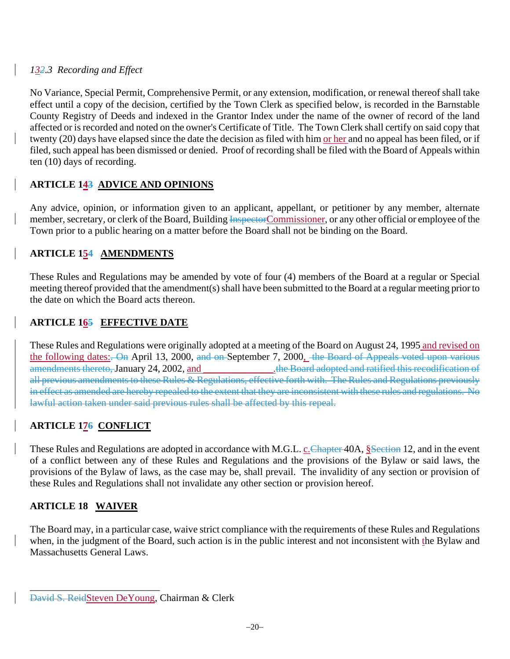# *132.3 Recording and Effect*

No Variance, Special Permit, Comprehensive Permit, or any extension, modification, or renewal thereof shall take effect until a copy of the decision, certified by the Town Clerk as specified below, is recorded in the Barnstable County Registry of Deeds and indexed in the Grantor Index under the name of the owner of record of the land affected or is recorded and noted on the owner's Certificate of Title. The Town Clerk shall certify on said copy that twenty (20) days have elapsed since the date the decision as filed with him or her and no appeal has been filed, or if filed, such appeal has been dismissed or denied. Proof of recording shall be filed with the Board of Appeals within ten (10) days of recording.

# **ARTICLE 143 ADVICE AND OPINIONS**

Any advice, opinion, or information given to an applicant, appellant, or petitioner by any member, alternate member, secretary, or clerk of the Board, Building InspectorCommissioner, or any other official or employee of the Town prior to a public hearing on a matter before the Board shall not be binding on the Board.

# **ARTICLE 154 AMENDMENTS**

These Rules and Regulations may be amended by vote of four (4) members of the Board at a regular or Special meeting thereof provided that the amendment(s) shall have been submitted to the Board at a regular meeting prior to the date on which the Board acts thereon.

# **ARTICLE 165 EFFECTIVE DATE**

These Rules and Regulations were originally adopted at a meeting of the Board on August 24, 1995 and revised on the following dates: On April 13, 2000, and on September 7, 2000, the Board of Appeals voted upon various amendments thereto, January 24, 2002, and \_\_\_\_\_\_\_\_\_\_\_\_\_\_\_\_\_\_.the Board adopted and ratified this recodification of all previous amendments to these Rules & Regulations, effective forth with. The Rules and Regulations previously in effect as amended are hereby repealed to the extent that they are inconsistent with these rules and regulations. No lawful action taken under said previous rules shall be affected by this repeal.

# **ARTICLE 176 CONFLICT**

These Rules and Regulations are adopted in accordance with M.G.L. c. Chapter 40A, §Section 12, and in the event of a conflict between any of these Rules and Regulations and the provisions of the Bylaw or said laws, the provisions of the Bylaw of laws, as the case may be, shall prevail. The invalidity of any section or provision of these Rules and Regulations shall not invalidate any other section or provision hereof.

# **ARTICLE 18 WAIVER**

\_\_\_\_\_\_\_\_\_\_\_\_\_\_\_\_\_\_\_\_\_\_\_\_\_\_

The Board may, in a particular case, waive strict compliance with the requirements of these Rules and Regulations when, in the judgment of the Board, such action is in the public interest and not inconsistent with the Bylaw and Massachusetts General Laws.

David S. ReidSteven DeYoung, Chairman & Clerk